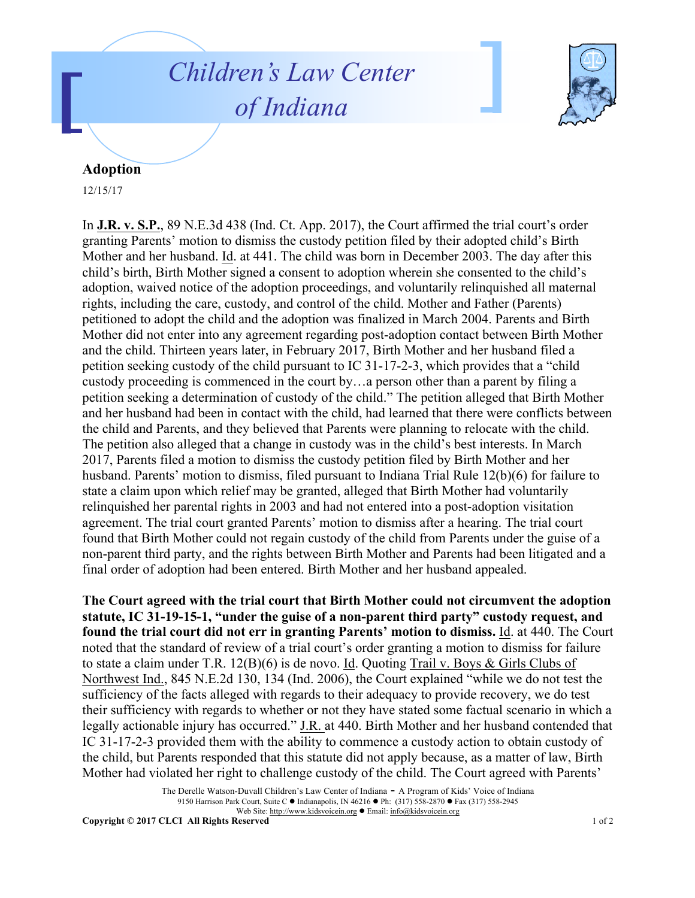## *Children's Law Center of Indiana*



## **Adoption**

12/15/17

In **J.R. v. S.P.**, 89 N.E.3d 438 (Ind. Ct. App. 2017), the Court affirmed the trial court's order granting Parents' motion to dismiss the custody petition filed by their adopted child's Birth Mother and her husband. Id. at 441. The child was born in December 2003. The day after this child's birth, Birth Mother signed a consent to adoption wherein she consented to the child's adoption, waived notice of the adoption proceedings, and voluntarily relinquished all maternal rights, including the care, custody, and control of the child. Mother and Father (Parents) petitioned to adopt the child and the adoption was finalized in March 2004. Parents and Birth Mother did not enter into any agreement regarding post-adoption contact between Birth Mother and the child. Thirteen years later, in February 2017, Birth Mother and her husband filed a petition seeking custody of the child pursuant to IC 31-17-2-3, which provides that a "child custody proceeding is commenced in the court by…a person other than a parent by filing a petition seeking a determination of custody of the child." The petition alleged that Birth Mother and her husband had been in contact with the child, had learned that there were conflicts between the child and Parents, and they believed that Parents were planning to relocate with the child. The petition also alleged that a change in custody was in the child's best interests. In March 2017, Parents filed a motion to dismiss the custody petition filed by Birth Mother and her husband. Parents' motion to dismiss, filed pursuant to Indiana Trial Rule 12(b)(6) for failure to state a claim upon which relief may be granted, alleged that Birth Mother had voluntarily relinquished her parental rights in 2003 and had not entered into a post-adoption visitation agreement. The trial court granted Parents' motion to dismiss after a hearing. The trial court found that Birth Mother could not regain custody of the child from Parents under the guise of a non-parent third party, and the rights between Birth Mother and Parents had been litigated and a final order of adoption had been entered. Birth Mother and her husband appealed.

**The Court agreed with the trial court that Birth Mother could not circumvent the adoption statute, IC 31-19-15-1, "under the guise of a non-parent third party" custody request, and found the trial court did not err in granting Parents' motion to dismiss.** Id. at 440. The Court noted that the standard of review of a trial court's order granting a motion to dismiss for failure to state a claim under T.R. 12(B)(6) is de novo. Id. Quoting Trail v. Boys & Girls Clubs of Northwest Ind., 845 N.E.2d 130, 134 (Ind. 2006), the Court explained "while we do not test the sufficiency of the facts alleged with regards to their adequacy to provide recovery, we do test their sufficiency with regards to whether or not they have stated some factual scenario in which a legally actionable injury has occurred." J.R. at 440. Birth Mother and her husband contended that IC 31-17-2-3 provided them with the ability to commence a custody action to obtain custody of the child, but Parents responded that this statute did not apply because, as a matter of law, Birth Mother had violated her right to challenge custody of the child. The Court agreed with Parents'